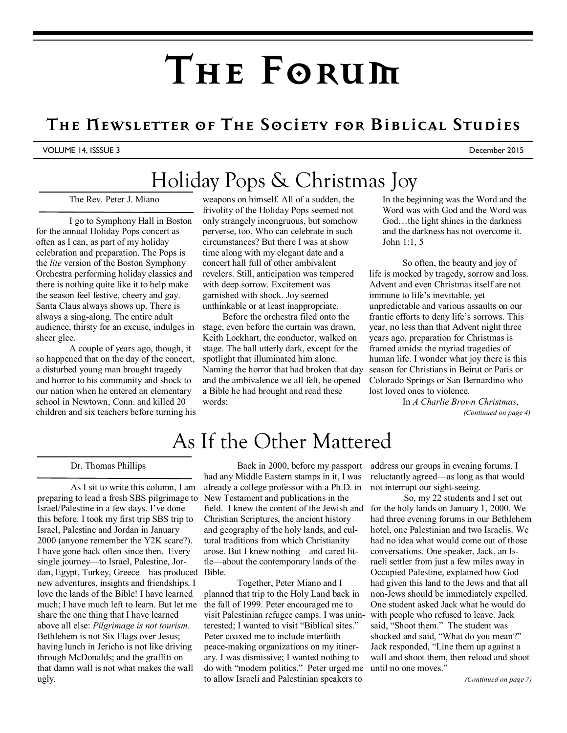# **The Forum**

### **The Newsletter of The Society for Biblical Studies**

#### VOLUME 14, ISSSUE 3 December 2015

### Holiday Pops & Christmas Joy

The Rev. Peter J. Miano

I go to Symphony Hall in Boston for the annual Holiday Pops concert as often as I can, as part of my holiday celebration and preparation. The Pops is the *lite* version of the Boston Symphony Orchestra performing holiday classics and there is nothing quite like it to help make the season feel festive, cheery and gay. Santa Claus always shows up. There is always a sing-along. The entire adult audience, thirsty for an excuse, indulges in sheer glee.

A couple of years ago, though, it so happened that on the day of the concert, a disturbed young man brought tragedy and horror to his community and shock to our nation when he entered an elementary school in Newtown, Conn. and killed 20 children and six teachers before turning his

weapons on himself. All of a sudden, the frivolity of the Holiday Pops seemed not only strangely incongruous, but somehow perverse, too. Who can celebrate in such circumstances? But there I was at show time along with my elegant date and a concert hall full of other ambivalent revelers. Still, anticipation was tempered with deep sorrow. Excitement was garnished with shock. Joy seemed unthinkable or at least inappropriate.

Before the orchestra filed onto the stage, even before the curtain was drawn, Keith Lockhart, the conductor, walked on stage. The hall utterly dark, except for the spotlight that illuminated him alone. Naming the horror that had broken that day and the ambivalence we all felt, he opened a Bible he had brought and read these words:

In the beginning was the Word and the Word was with God and the Word was God…the light shines in the darkness and the darkness has not overcome it. John 1:1, 5

 So often, the beauty and joy of life is mocked by tragedy, sorrow and loss. Advent and even Christmas itself are not immune to life's inevitable, yet unpredictable and various assaults on our frantic efforts to deny life's sorrows. This year, no less than that Advent night three years ago, preparation for Christmas is framed amidst the myriad tragedies of human life. I wonder what joy there is this season for Christians in Beirut or Paris or Colorado Springs or San Bernardino who lost loved ones to violence.

In *A Charlie Brown Christmas*, *(Continued on page 4)* 

### As If the Other Mattered

#### Dr. Thomas Phillips

 As I sit to write this column, I am preparing to lead a fresh SBS pilgrimage to Israel/Palestine in a few days. I've done this before. I took my first trip SBS trip to Israel, Palestine and Jordan in January 2000 (anyone remember the Y2K scare?). I have gone back often since then. Every single journey—to Israel, Palestine, Jordan, Egypt, Turkey, Greece—has produced new adventures, insights and friendships. I love the lands of the Bible! I have learned much; I have much left to learn. But let me share the one thing that I have learned above all else: *Pilgrimage is not tourism.* Bethlehem is not Six Flags over Jesus; having lunch in Jericho is not like driving through McDonalds; and the graffiti on that damn wall is not what makes the wall ugly.

Back in 2000, before my passport had any Middle Eastern stamps in it, I was already a college professor with a Ph.D. in New Testament and publications in the field. I knew the content of the Jewish and Christian Scriptures, the ancient history and geography of the holy lands, and cultural traditions from which Christianity arose. But I knew nothing—and cared little—about the contemporary lands of the Bible.

Together, Peter Miano and I planned that trip to the Holy Land back in the fall of 1999. Peter encouraged me to visit Palestinian refugee camps. I was uninterested; I wanted to visit "Biblical sites." Peter coaxed me to include interfaith peace-making organizations on my itinerary. I was dismissive; I wanted nothing to do with "modern politics." Peter urged me to allow Israeli and Palestinian speakers to

address our groups in evening forums. I reluctantly agreed—as long as that would not interrupt our sight-seeing.

 So, my 22 students and I set out for the holy lands on January 1, 2000. We had three evening forums in our Bethlehem hotel, one Palestinian and two Israelis. We had no idea what would come out of those conversations. One speaker, Jack, an Israeli settler from just a few miles away in Occupied Palestine, explained how God had given this land to the Jews and that all non-Jews should be immediately expelled. One student asked Jack what he would do with people who refused to leave. Jack said, "Shoot them." The student was shocked and said, "What do you mean?" Jack responded, "Line them up against a wall and shoot them, then reload and shoot until no one moves."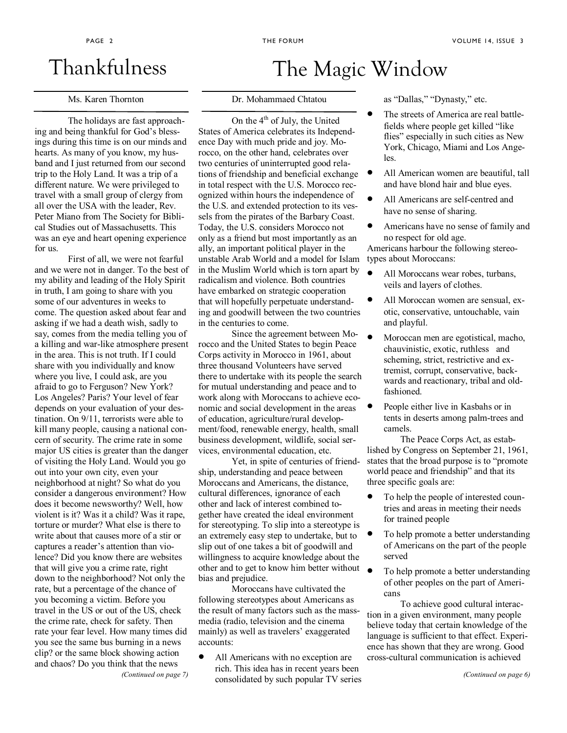### Thankfulness

#### Ms. Karen Thornton

The holidays are fast approaching and being thankful for God's blessings during this time is on our minds and hearts. As many of you know, my husband and I just returned from our second trip to the Holy Land. It was a trip of a different nature. We were privileged to travel with a small group of clergy from all over the USA with the leader, Rev. Peter Miano from The Society for Biblical Studies out of Massachusetts. This was an eye and heart opening experience for us.

First of all, we were not fearful and we were not in danger. To the best of my ability and leading of the Holy Spirit in truth, I am going to share with you some of our adventures in weeks to come. The question asked about fear and asking if we had a death wish, sadly to say, comes from the media telling you of a killing and war-like atmosphere present in the area. This is not truth. If I could share with you individually and know where you live, I could ask, are you afraid to go to Ferguson? New York? Los Angeles? Paris? Your level of fear depends on your evaluation of your destination. On 9/11, terrorists were able to kill many people, causing a national concern of security. The crime rate in some major US cities is greater than the danger of visiting the Holy Land. Would you go out into your own city, even your neighborhood at night? So what do you consider a dangerous environment? How does it become newsworthy? Well, how violent is it? Was it a child? Was it rape, torture or murder? What else is there to write about that causes more of a stir or captures a reader's attention than violence? Did you know there are websites that will give you a crime rate, right down to the neighborhood? Not only the rate, but a percentage of the chance of you becoming a victim. Before you travel in the US or out of the US, check the crime rate, check for safety. Then rate your fear level. How many times did you see the same bus burning in a news clip? or the same block showing action and chaos? Do you think that the news *(Continued on page 7)* 

### Dr. Mohammaed Chtatou

The Magic Window

On the 4<sup>th</sup> of July, the United States of America celebrates its Independence Day with much pride and joy. Morocco, on the other hand, celebrates over two centuries of uninterrupted good relations of friendship and beneficial exchange in total respect with the U.S. Morocco recognized within hours the independence of the U.S. and extended protection to its vessels from the pirates of the Barbary Coast. Today, the U.S. considers Morocco not only as a friend but most importantly as an ally, an important political player in the unstable Arab World and a model for Islam in the Muslim World which is torn apart by radicalism and violence. Both countries have embarked on strategic cooperation that will hopefully perpetuate understanding and goodwill between the two countries in the centuries to come.

Since the agreement between Morocco and the United States to begin Peace Corps activity in Morocco in 1961, about three thousand Volunteers have served there to undertake with its people the search for mutual understanding and peace and to work along with Moroccans to achieve economic and social development in the areas of education, agriculture/rural development/food, renewable energy, health, small business development, wildlife, social services, environmental education, etc.

Yet, in spite of centuries of friendship, understanding and peace between Moroccans and Americans, the distance, cultural differences, ignorance of each other and lack of interest combined together have created the ideal environment for stereotyping. To slip into a stereotype is an extremely easy step to undertake, but to slip out of one takes a bit of goodwill and willingness to acquire knowledge about the other and to get to know him better without bias and prejudice.

Moroccans have cultivated the following stereotypes about Americans as the result of many factors such as the massmedia (radio, television and the cinema mainly) as well as travelers' exaggerated accounts:

• All Americans with no exception are rich. This idea has in recent years been consolidated by such popular TV series as "Dallas," "Dynasty," etc.

- The streets of America are real battlefields where people get killed "like flies" especially in such cities as New York, Chicago, Miami and Los Angeles.
- All American women are beautiful, tall and have blond hair and blue eyes.
- All Americans are self-centred and have no sense of sharing.
- Americans have no sense of family and no respect for old age. Americans harbour the following stereotypes about Moroccans:
- All Moroccans wear robes, turbans, veils and layers of clothes.
- All Moroccan women are sensual, exotic, conservative, untouchable, vain and playful.
- Moroccan men are egotistical, macho, chauvinistic, exotic, ruthless and scheming, strict, restrictive and extremist, corrupt, conservative, backwards and reactionary, tribal and oldfashioned.
- People either live in Kasbahs or in tents in deserts among palm-trees and camels.

The Peace Corps Act, as established by Congress on September 21, 1961, states that the broad purpose is to "promote world peace and friendship" and that its three specific goals are:

- To help the people of interested countries and areas in meeting their needs for trained people
- To help promote a better understanding of Americans on the part of the people served
- To help promote a better understanding of other peoples on the part of Americans

To achieve good cultural interaction in a given environment, many people believe today that certain knowledge of the language is sufficient to that effect. Experience has shown that they are wrong. Good cross-cultural communication is achieved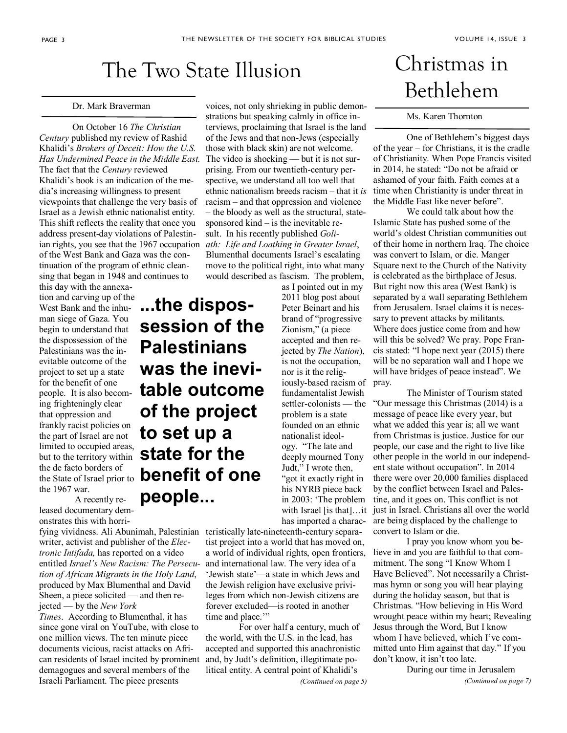### The Two State Illusion

#### Dr. Mark Braverman

On October 16 *The Christian Century* published my review of Rashid Khalidi's *Brokers of Deceit: How the U.S. Has Undermined Peace in the Middle East.*  The fact that the *Century* reviewed Khalidi's book is an indication of the media's increasing willingness to present viewpoints that challenge the very basis of Israel as a Jewish ethnic nationalist entity. This shift reflects the reality that once you address present-day violations of Palestinian rights, you see that the 1967 occupation of the West Bank and Gaza was the continuation of the program of ethnic cleansing that began in 1948 and continues to

this day with the annexation and carving up of the West Bank and the inhuman siege of Gaza. You begin to understand that the dispossession of the Palestinians was the inevitable outcome of the project to set up a state for the benefit of one people. It is also becoming frighteningly clear that oppression and frankly racist policies on the part of Israel are not limited to occupied areas, but to the territory within the de facto borders of the State of Israel prior to the 1967 war.

 A recently released documentary demonstrates this with horri-

writer, activist and publisher of the *Electronic Intifada,* has reported on a video entitled *Israel's New Racism: The Persecution of African Migrants in the Holy Land*, produced by Max Blumenthal and David Sheen, a piece solicited — and then rejected — by the *New York* 

*Times*. According to Blumenthal, it has since gone viral on YouTube, with close to one million views. The ten minute piece documents vicious, racist attacks on African residents of Israel incited by prominent demagogues and several members of the Israeli Parliament. The piece presents

voices, not only shrieking in public demonstrations but speaking calmly in office interviews, proclaiming that Israel is the land of the Jews and that non-Jews (especially those with black skin) are not welcome. The video is shocking — but it is not surprising. From our twentieth-century perspective, we understand all too well that ethnic nationalism breeds racism – that it *is* racism – and that oppression and violence – the bloody as well as the structural, statesponsored kind – is the inevitable result. In his recently published *Goliath: Life and Loathing in Greater Israel*, Blumenthal documents Israel's escalating move to the political right, into what many would described as fascism. The problem,

**...the dispossession of the Palestinians was the inevitable outcome of the project to set up a state for the benefit of one people...** 

as I pointed out in my 2011 blog post about Peter Beinart and his brand of "progressive Zionism," (a piece accepted and then rejected by *The Nation*), is not the occupation, nor is it the religiously-based racism of fundamentalist Jewish settler-colonists — the problem is a state founded on an ethnic nationalist ideology. "The late and deeply mourned Tony Judt," I wrote then, "got it exactly right in his NYRB piece back in 2003: 'The problem has imported a charac-

fying vividness. Ali Abunimah, Palestinian teristically late-nineteenth-century separatist project into a world that has moved on, a world of individual rights, open frontiers, and international law. The very idea of a 'Jewish state'—a state in which Jews and the Jewish religion have exclusive privileges from which non-Jewish citizens are forever excluded—is rooted in another time and place."

> For over half a century, much of the world, with the U.S. in the lead, has accepted and supported this anachronistic and, by Judt's definition, illegitimate political entity. A central point of Khalidi's *(Continued on page 5)*

# Christmas in Bethlehem

#### Ms. Karen Thornton

One of Bethlehem's biggest days of the year – for Christians, it is the cradle of Christianity. When Pope Francis visited in 2014, he stated: "Do not be afraid or ashamed of your faith. Faith comes at a time when Christianity is under threat in the Middle East like never before".

We could talk about how the Islamic State has pushed some of the world's oldest Christian communities out of their home in northern Iraq. The choice was convert to Islam, or die. Manger Square next to the Church of the Nativity is celebrated as the birthplace of Jesus. But right now this area (West Bank) is separated by a wall separating Bethlehem from Jerusalem. Israel claims it is necessary to prevent attacks by militants. Where does justice come from and how will this be solved? We pray. Pope Francis stated: "I hope next year (2015) there will be no separation wall and I hope we will have bridges of peace instead". We pray.

with Israel [is that]…it just in Israel. Christians all over the world The Minister of Tourism stated "Our message this Christmas (2014) is a message of peace like every year, but what we added this year is; all we want from Christmas is justice. Justice for our people, our case and the right to live like other people in the world in our independent state without occupation". In 2014 there were over 20,000 families displaced by the conflict between Israel and Palestine, and it goes on. This conflict is not are being displaced by the challenge to convert to Islam or die.

> I pray you know whom you believe in and you are faithful to that commitment. The song "I Know Whom I Have Believed". Not necessarily a Christmas hymn or song you will hear playing during the holiday season, but that is Christmas. "How believing in His Word wrought peace within my heart; Revealing Jesus through the Word, But I know whom I have believed, which I've committed unto Him against that day." If you don't know, it isn't too late.

During our time in Jerusalem *(Continued on page 7)*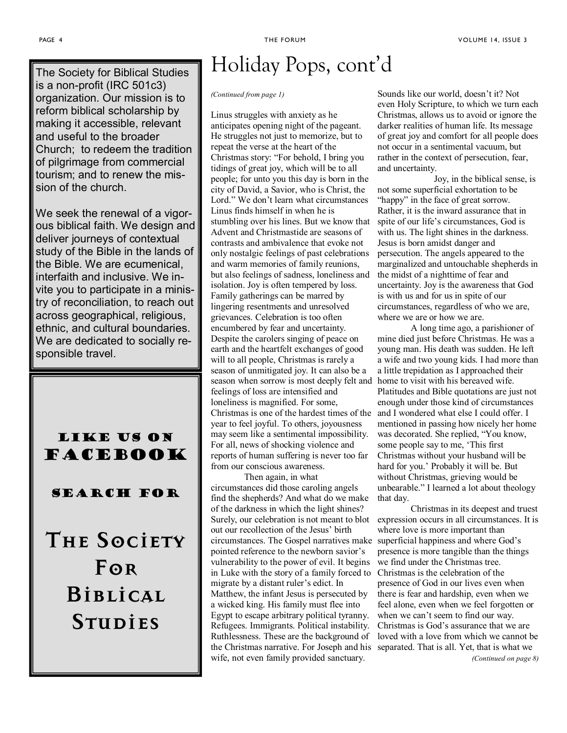The Society for Biblical Studies is a non-profit (IRC 501c3) organization. Our mission is to reform biblical scholarship by making it accessible, relevant and useful to the broader Church; to redeem the tradition of pilgrimage from commercial tourism; and to renew the mission of the church.

We seek the renewal of a vigorous biblical faith. We design and deliver journeys of contextual study of the Bible in the lands of the Bible. We are ecumenical, interfaith and inclusive. We invite you to participate in a ministry of reconciliation, to reach out across geographical, religious, ethnic, and cultural boundaries. We are dedicated to socially responsible travel.

#### Like us on **FACEBOOK**

#### Search for

**The Society For Biblical Studies** 

# Holiday Pops, cont'd

#### *(Continued from page 1)*

Linus struggles with anxiety as he anticipates opening night of the pageant. He struggles not just to memorize, but to repeat the verse at the heart of the Christmas story: "For behold, I bring you tidings of great joy, which will be to all people; for unto you this day is born in the city of David, a Savior, who is Christ, the Lord." We don't learn what circumstances Linus finds himself in when he is stumbling over his lines. But we know that Advent and Christmastide are seasons of contrasts and ambivalence that evoke not only nostalgic feelings of past celebrations and warm memories of family reunions, but also feelings of sadness, loneliness and isolation. Joy is often tempered by loss. Family gatherings can be marred by lingering resentments and unresolved grievances. Celebration is too often encumbered by fear and uncertainty. Despite the carolers singing of peace on earth and the heartfelt exchanges of good will to all people, Christmas is rarely a season of unmitigated joy. It can also be a season when sorrow is most deeply felt and feelings of loss are intensified and loneliness is magnified. For some, Christmas is one of the hardest times of the year to feel joyful. To others, joyousness may seem like a sentimental impossibility. For all, news of shocking violence and reports of human suffering is never too far from our conscious awareness.

Then again, in what circumstances did those caroling angels find the shepherds? And what do we make of the darkness in which the light shines? Surely, our celebration is not meant to blot out our recollection of the Jesus' birth circumstances. The Gospel narratives make superficial happiness and where God's pointed reference to the newborn savior's vulnerability to the power of evil. It begins in Luke with the story of a family forced to migrate by a distant ruler's edict. In Matthew, the infant Jesus is persecuted by a wicked king. His family must flee into Egypt to escape arbitrary political tyranny. Refugees. Immigrants. Political instability. Ruthlessness. These are the background of the Christmas narrative. For Joseph and his separated. That is all. Yet, that is what we wife, not even family provided sanctuary.

Sounds like our world, doesn't it? Not even Holy Scripture, to which we turn each Christmas, allows us to avoid or ignore the darker realities of human life. Its message of great joy and comfort for all people does not occur in a sentimental vacuum, but rather in the context of persecution, fear, and uncertainty.

 Joy, in the biblical sense, is not some superficial exhortation to be "happy" in the face of great sorrow. Rather, it is the inward assurance that in spite of our life's circumstances, God is with us. The light shines in the darkness. Jesus is born amidst danger and persecution. The angels appeared to the marginalized and untouchable shepherds in the midst of a nighttime of fear and uncertainty. Joy is the awareness that God is with us and for us in spite of our circumstances, regardless of who we are, where we are or how we are.

A long time ago, a parishioner of mine died just before Christmas. He was a young man. His death was sudden. He left a wife and two young kids. I had more than a little trepidation as I approached their home to visit with his bereaved wife. Platitudes and Bible quotations are just not enough under those kind of circumstances and I wondered what else I could offer. I mentioned in passing how nicely her home was decorated. She replied, "You know, some people say to me, 'This first Christmas without your husband will be hard for you.' Probably it will be. But without Christmas, grieving would be unbearable." I learned a lot about theology that day.

Christmas in its deepest and truest expression occurs in all circumstances. It is where love is more important than presence is more tangible than the things we find under the Christmas tree. Christmas is the celebration of the presence of God in our lives even when there is fear and hardship, even when we feel alone, even when we feel forgotten or when we can't seem to find our way. Christmas is God's assurance that we are loved with a love from which we cannot be

*(Continued on page 8)*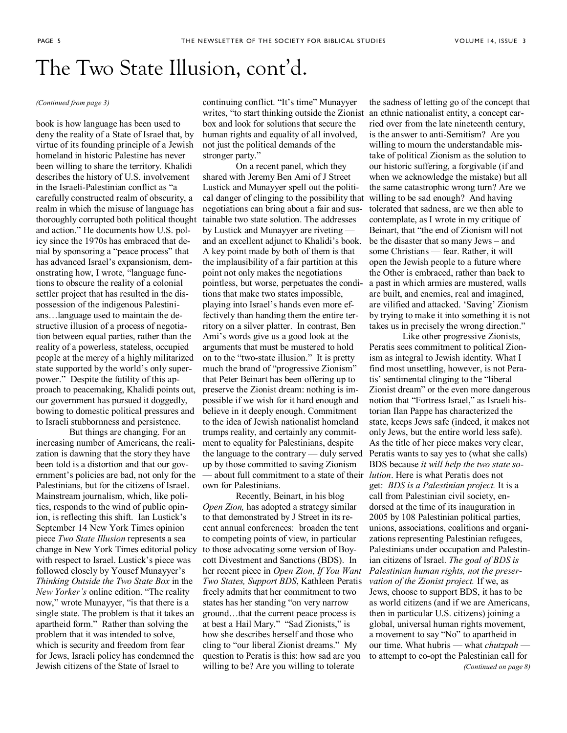### The Two State Illusion, cont'd.

#### *(Continued from page 3)*

book is how language has been used to deny the reality of a State of Israel that, by virtue of its founding principle of a Jewish homeland in historic Palestine has never been willing to share the territory. Khalidi describes the history of U.S. involvement in the Israeli-Palestinian conflict as "a carefully constructed realm of obscurity, a realm in which the misuse of language has thoroughly corrupted both political thought and action." He documents how U.S. policy since the 1970s has embraced that denial by sponsoring a "peace process" that has advanced Israel's expansionism, demonstrating how, I wrote, "language functions to obscure the reality of a colonial settler project that has resulted in the dispossession of the indigenous Palestinians…language used to maintain the destructive illusion of a process of negotiation between equal parties, rather than the reality of a powerless, stateless, occupied people at the mercy of a highly militarized state supported by the world's only superpower." Despite the futility of this approach to peacemaking, Khalidi points out, our government has pursued it doggedly, bowing to domestic political pressures and to Israeli stubbornness and persistence.

But things are changing. For an increasing number of Americans, the realization is dawning that the story they have been told is a distortion and that our government's policies are bad, not only for the Palestinians, but for the citizens of Israel. Mainstream journalism, which, like politics, responds to the wind of public opinion, is reflecting this shift. Ian Lustick's September 14 New York Times opinion piece *Two State Illusion* represents a sea change in New York Times editorial policy with respect to Israel. Lustick's piece was followed closely by Yousef Munayyer's *Thinking Outside the Two State Box* in the *New Yorker's* online edition. "The reality now," wrote Munayyer, "is that there is a single state. The problem is that it takes an apartheid form." Rather than solving the problem that it was intended to solve, which is security and freedom from fear for Jews, Israeli policy has condemned the Jewish citizens of the State of Israel to

continuing conflict. "It's time" Munayyer writes, "to start thinking outside the Zionist box and look for solutions that secure the human rights and equality of all involved, not just the political demands of the stronger party."

On a recent panel, which they shared with Jeremy Ben Ami of J Street Lustick and Munayyer spell out the political danger of clinging to the possibility that negotiations can bring about a fair and sustainable two state solution. The addresses by Lustick and Munayyer are riveting and an excellent adjunct to Khalidi's book. A key point made by both of them is that the implausibility of a fair partition at this point not only makes the negotiations pointless, but worse, perpetuates the conditions that make two states impossible, playing into Israel's hands even more effectively than handing them the entire territory on a silver platter. In contrast, Ben Ami's words give us a good look at the arguments that must be mustered to hold on to the "two-state illusion." It is pretty much the brand of "progressive Zionism" that Peter Beinart has been offering up to preserve the Zionist dream: nothing is impossible if we wish for it hard enough and believe in it deeply enough. Commitment to the idea of Jewish nationalist homeland trumps reality, and certainly any commitment to equality for Palestinians, despite the language to the contrary — duly served up by those committed to saving Zionism — about full commitment to a state of their *lution*. Here is what Peratis does not own for Palestinians.

Recently, Beinart, in his blog *Open Zion,* has adopted a strategy similar to that demonstrated by J Street in its recent annual conferences: broaden the tent to competing points of view, in particular to those advocating some version of Boycott Divestment and Sanctions (BDS). In her recent piece in *Open Zion*, *If You Want Two States, Support BDS*, Kathleen Peratis freely admits that her commitment to two states has her standing "on very narrow ground…that the current peace process is at best a Hail Mary." "Sad Zionists," is how she describes herself and those who cling to "our liberal Zionist dreams." My question to Peratis is this: how sad are you willing to be? Are you willing to tolerate

the sadness of letting go of the concept that an ethnic nationalist entity, a concept carried over from the late nineteenth century, is the answer to anti-Semitism? Are you willing to mourn the understandable mistake of political Zionism as the solution to our historic suffering, a forgivable (if and when we acknowledge the mistake) but all the same catastrophic wrong turn? Are we willing to be sad enough? And having tolerated that sadness, are we then able to contemplate, as I wrote in my critique of Beinart, that "the end of Zionism will not be the disaster that so many Jews – and some Christians — fear. Rather, it will open the Jewish people to a future where the Other is embraced, rather than back to a past in which armies are mustered, walls are built, and enemies, real and imagined, are vilified and attacked. 'Saving' Zionism by trying to make it into something it is not takes us in precisely the wrong direction."

Like other progressive Zionists, Peratis sees commitment to political Zionism as integral to Jewish identity. What I find most unsettling, however, is not Peratis' sentimental clinging to the "liberal Zionist dream" or the even more dangerous notion that "Fortress Israel," as Israeli historian Ilan Pappe has characterized the state, keeps Jews safe (indeed, it makes not only Jews, but the entire world less safe). As the title of her piece makes very clear, Peratis wants to say yes to (what she calls) BDS because *it will help the two state so*get: *BDS is a Palestinian project.* It is a call from Palestinian civil society, endorsed at the time of its inauguration in 2005 by 108 Palestinian political parties, unions, associations, coalitions and organizations representing Palestinian refugees, Palestinians under occupation and Palestinian citizens of Israel. *The goal of BDS is Palestinian human rights, not the preservation of the Zionist project.* If we, as Jews, choose to support BDS, it has to be as world citizens (and if we are Americans, then in particular U.S. citizens) joining a global, universal human rights movement, a movement to say "No" to apartheid in our time. What hubris — what *chutzpah* to attempt to co-opt the Palestinian call for *(Continued on page 8)*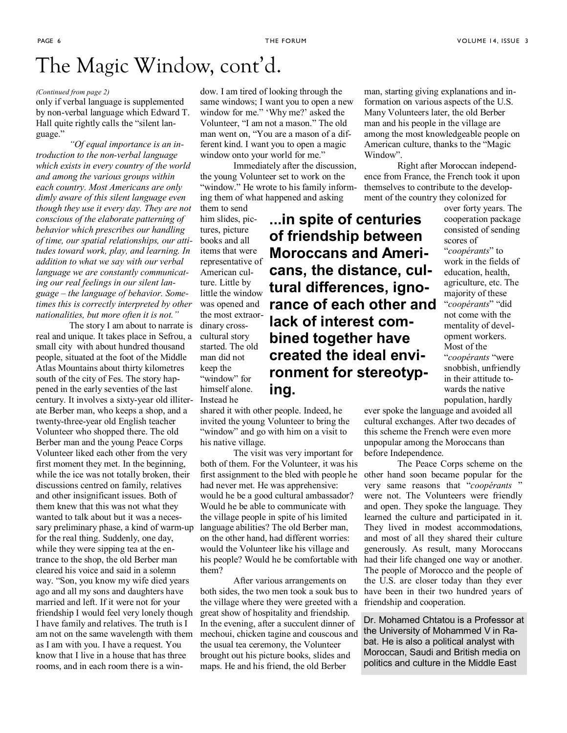# The Magic Window, cont'd.

#### *(Continued from page 2)*

only if verbal language is supplemented by non-verbal language which Edward T. Hall quite rightly calls the "silent language."

*"Of equal importance is an introduction to the non-verbal language which exists in every country of the world and among the various groups within each country. Most Americans are only dimly aware of this silent language even though they use it every day. They are not conscious of the elaborate patterning of behavior which prescribes our handling of time, our spatial relationships, our attitudes toward work, play, and learning. In addition to what we say with our verbal language we are constantly communicating our real feelings in our silent language – the language of behavior. Sometimes this is correctly interpreted by other nationalities, but more often it is not."*

The story I am about to narrate is dinary crossreal and unique. It takes place in Sefrou, a small city with about hundred thousand people, situated at the foot of the Middle Atlas Mountains about thirty kilometres south of the city of Fes. The story happened in the early seventies of the last century. It involves a sixty-year old illiterate Berber man, who keeps a shop, and a twenty-three-year old English teacher Volunteer who shopped there. The old Berber man and the young Peace Corps Volunteer liked each other from the very first moment they met. In the beginning, while the ice was not totally broken, their discussions centred on family, relatives and other insignificant issues. Both of them knew that this was not what they wanted to talk about but it was a necessary preliminary phase, a kind of warm-up for the real thing. Suddenly, one day, while they were sipping tea at the entrance to the shop, the old Berber man cleared his voice and said in a solemn way. "Son, you know my wife died years ago and all my sons and daughters have married and left. If it were not for your friendship I would feel very lonely though I have family and relatives. The truth is I am not on the same wavelength with them as I am with you. I have a request. You know that I live in a house that has three rooms, and in each room there is a win-

dow. I am tired of looking through the same windows; I want you to open a new window for me." 'Why me?' asked the Volunteer, "I am not a mason." The old man went on, "You are a mason of a different kind. I want you to open a magic window onto your world for me."

Immediately after the discussion, the young Volunteer set to work on the "window." He wrote to his family informing them of what happened and asking

> **...in spite of centuries of friendship between**

**lack of interest combined together have** 

**created the ideal envi-**

them to send him slides, pictures, picture books and all items that were representative of American culture. Little by little the window was opened and the most extraorcultural story started. The old man did not keep the "window" for himself alone. Instead he

shared it with other people. Indeed, he invited the young Volunteer to bring the "window" and go with him on a visit to his native village.

**ing.** 

The visit was very important for both of them. For the Volunteer, it was his had never met. He was apprehensive: would he be a good cultural ambassador? Would he be able to communicate with the village people in spite of his limited language abilities? The old Berber man, on the other hand, had different worries: would the Volunteer like his village and his people? Would he be comfortable with them?

After various arrangements on the village where they were greeted with a friendship and cooperation. great show of hospitality and friendship. In the evening, after a succulent dinner of mechoui, chicken tagine and couscous and the usual tea ceremony, the Volunteer brought out his picture books, slides and maps. He and his friend, the old Berber

man, starting giving explanations and information on various aspects of the U.S. Many Volunteers later, the old Berber man and his people in the village are among the most knowledgeable people on American culture, thanks to the "Magic Window".

Right after Moroccan independence from France, the French took it upon themselves to contribute to the development of the country they colonized for

over forty years. The cooperation package consisted of sending scores of "*coopérants*" to work in the fields of education, health, agriculture, etc. The majority of these "*coopérants*" "did not come with the mentality of development workers. Most of the "*coopérants* "were snobbish, unfriendly in their attitude towards the native population, hardly **Moroccans and Americans, the distance, cultural differences, ignorance of each other and ronment for stereotyp-**

ever spoke the language and avoided all cultural exchanges. After two decades of this scheme the French were even more unpopular among the Moroccans than before Independence.

first assignment to the bled with people he other hand soon became popular for the both sides, the two men took a souk bus to have been in their two hundred years of The Peace Corps scheme on the very same reasons that "*coopérants* " were not. The Volunteers were friendly and open. They spoke the language. They learned the culture and participated in it. They lived in modest accommodations, and most of all they shared their culture generously. As result, many Moroccans had their life changed one way or another. The people of Morocco and the people of the U.S. are closer today than they ever

> Dr. Mohamed Chtatou is a Professor at the University of Mohammed V in Rabat. He is also a political analyst with Moroccan, Saudi and British media on politics and culture in the Middle East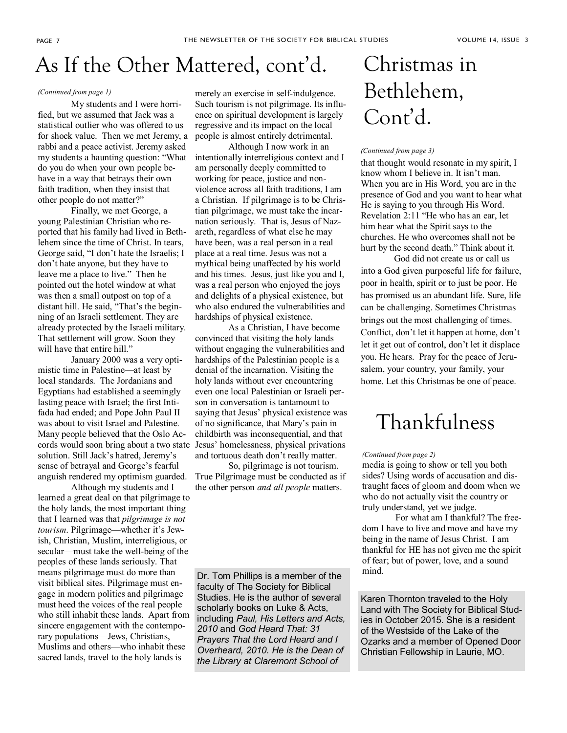### As If the Other Mattered, cont'd.

#### *(Continued from page 1)*

 My students and I were horrified, but we assumed that Jack was a statistical outlier who was offered to us for shock value. Then we met Jeremy, a rabbi and a peace activist. Jeremy asked my students a haunting question: "What do you do when your own people behave in a way that betrays their own faith tradition, when they insist that other people do not matter?"

 Finally, we met George, a young Palestinian Christian who reported that his family had lived in Bethlehem since the time of Christ. In tears, George said, "I don't hate the Israelis; I don't hate anyone, but they have to leave me a place to live." Then he pointed out the hotel window at what was then a small outpost on top of a distant hill. He said, "That's the beginning of an Israeli settlement. They are already protected by the Israeli military. That settlement will grow. Soon they will have that entire hill."

 January 2000 was a very optimistic time in Palestine—at least by local standards. The Jordanians and Egyptians had established a seemingly lasting peace with Israel; the first Intifada had ended; and Pope John Paul II was about to visit Israel and Palestine. Many people believed that the Oslo Accords would soon bring about a two state solution. Still Jack's hatred, Jeremy's sense of betrayal and George's fearful anguish rendered my optimism guarded.

 Although my students and I learned a great deal on that pilgrimage to the holy lands, the most important thing that I learned was that *pilgrimage is not tourism*. Pilgrimage—whether it's Jewish, Christian, Muslim, interreligious, or secular—must take the well-being of the peoples of these lands seriously. That means pilgrimage must do more than visit biblical sites. Pilgrimage must engage in modern politics and pilgrimage must heed the voices of the real people who still inhabit these lands. Apart from sincere engagement with the contemporary populations—Jews, Christians, Muslims and others—who inhabit these sacred lands, travel to the holy lands is

merely an exercise in self-indulgence. Such tourism is not pilgrimage. Its influence on spiritual development is largely regressive and its impact on the local people is almost entirely detrimental.

Although I now work in an intentionally interreligious context and I am personally deeply committed to working for peace, justice and nonviolence across all faith traditions, I am a Christian. If pilgrimage is to be Christian pilgrimage, we must take the incarnation seriously. That is, Jesus of Nazareth, regardless of what else he may have been, was a real person in a real place at a real time. Jesus was not a mythical being unaffected by his world and his times. Jesus, just like you and I, was a real person who enjoyed the joys and delights of a physical existence, but who also endured the vulnerabilities and hardships of physical existence.

As a Christian, I have become convinced that visiting the holy lands without engaging the vulnerabilities and hardships of the Palestinian people is a denial of the incarnation. Visiting the holy lands without ever encountering even one local Palestinian or Israeli person in conversation is tantamount to saying that Jesus' physical existence was of no significance, that Mary's pain in childbirth was inconsequential, and that Jesus' homelessness, physical privations and tortuous death don't really matter.

 So, pilgrimage is not tourism. True Pilgrimage must be conducted as if the other person *and all people* matters.

Dr. Tom Phillips is a member of the faculty of The Society for Biblical Studies. He is the author of several scholarly books on Luke & Acts, including *Paul, His Letters and Acts, 2010* and *God Heard That: 31 Prayers That the Lord Heard and I Overheard, 2010. He is the Dean of the Library at Claremont School of* 

# Christmas in Bethlehem, Cont'd.

#### *(Continued from page 3)*

that thought would resonate in my spirit, I know whom I believe in. It isn't man. When you are in His Word, you are in the presence of God and you want to hear what He is saying to you through His Word. Revelation 2:11 "He who has an ear, let him hear what the Spirit says to the churches. He who overcomes shall not be hurt by the second death." Think about it.

God did not create us or call us into a God given purposeful life for failure, poor in health, spirit or to just be poor. He has promised us an abundant life. Sure, life can be challenging. Sometimes Christmas brings out the most challenging of times. Conflict, don't let it happen at home, don't let it get out of control, don't let it displace you. He hears. Pray for the peace of Jerusalem, your country, your family, your home. Let this Christmas be one of peace.

### Thankfulness

#### *(Continued from page 2)*

media is going to show or tell you both sides? Using words of accusation and distraught faces of gloom and doom when we who do not actually visit the country or truly understand, yet we judge.

For what am I thankful? The freedom I have to live and move and have my being in the name of Jesus Christ. I am thankful for HE has not given me the spirit of fear; but of power, love, and a sound mind.

Karen Thornton traveled to the Holy Land with The Society for Biblical Studies in October 2015. She is a resident of the Westside of the Lake of the Ozarks and a member of Opened Door Christian Fellowship in Laurie, MO.